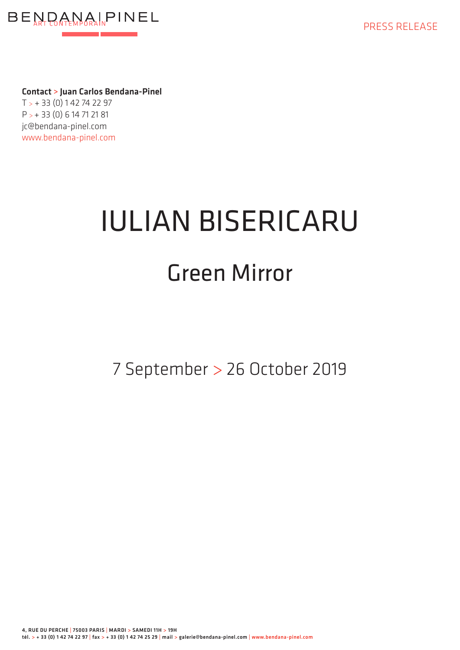



Contact > Juan Carlos Bendana-Pinel  $T > +33(0)142742297$ P > + 33 (0) 6 14 71 21 81 jc@bendana-pinel.com www.bendana-pinel.com

## IULIAN BISERICARU

## Green Mirror

7 September > 26 October 2019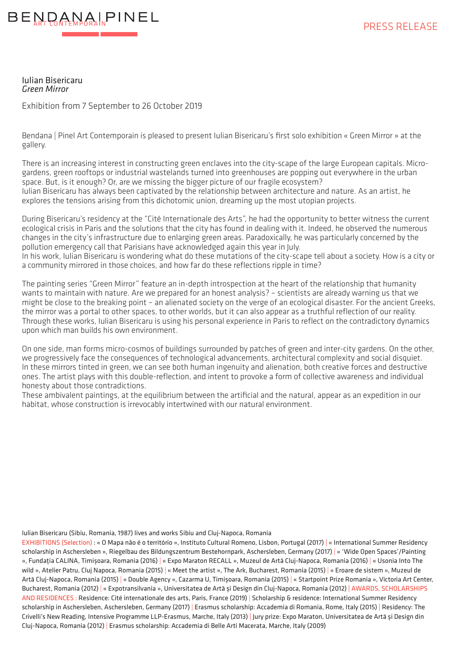

Iulian Bisericaru *Green Mirror*

Exhibition from 7 September to 26 October 2019

Bendana | Pinel Art Contemporain is pleased to present Iulian Bisericaru's first solo exhibition « Green Mirror » at the gallery.

There is an increasing interest in constructing green enclaves into the city-scape of the large European capitals. Microgardens, green rooftops or industrial wastelands turned into greenhouses are popping out everywhere in the urban space. But, is it enough? Or, are we missing the bigger picture of our fragile ecosystem?

Iulian Bisericaru has always been captivated by the relationship between architecture and nature. As an artist, he explores the tensions arising from this dichotomic union, dreaming up the most utopian projects.

During Bisericaru's residency at the "Cité Internationale des Arts", he had the opportunity to better witness the current ecological crisis in Paris and the solutions that the city has found in dealing with it. Indeed, he observed the numerous changes in the city's infrastructure due to enlarging green areas. Paradoxically, he was particularly concerned by the pollution emergency call that Parisians have acknowledged again this year in July.

In his work, Iulian Bisericaru is wondering what do these mutations of the city-scape tell about a society. How is a city or a community mirrored in those choices, and how far do these reflections ripple in time?

The painting series "Green Mirror" feature an in-depth introspection at the heart of the relationship that humanity wants to maintain with nature. Are we prepared for an honest analysis? – scientists are already warning us that we might be close to the breaking point – an alienated society on the verge of an ecological disaster. For the ancient Greeks, the mirror was a portal to other spaces, to other worlds, but it can also appear as a truthful reflection of our reality. Through these works, Iulian Bisericaru is using his personal experience in Paris to reflect on the contradictory dynamics upon which man builds his own environment.

On one side, man forms micro-cosmos of buildings surrounded by patches of green and inter-city gardens. On the other, we progressively face the consequences of technological advancements, architectural complexity and social disquiet. In these mirrors tinted in green, we can see both human ingenuity and alienation, both creative forces and destructive ones. The artist plays with this double-reflection, and intent to provoke a form of collective awareness and individual honesty about those contradictions.

These ambivalent paintings, at the equilibrium between the artificial and the natural, appear as an expedition in our habitat, whose construction is irrevocably intertwined with our natural environment.

Iulian Bisericaru (Sibiu, Romania, 1987) lives and works Sibiu and Cluj-Napoca, Romania

EXHIBITIONS (Selection) : « O Mapa não é o território », Instituto Cultural Romeno, Lisbon, Portugal (2017) | « International Summer Residency scholarship in Aschersleben », Riegelbau des Bildungszentrum Bestehornpark, Aschersleben, Germany (2017) | « 'Wide Open Spaces'/Painting », Fundația CALINA, Timișoara, Romania (2016) | « Expo Maraton RECALL », Muzeul de Artă Cluj-Napoca, Romania (2016) | « Usonia Into The wild », Atelier Patru, Cluj Napoca, Romania (2015) | « Meet the artist », The Ark, Bucharest, Romania (2015) | « Eroare de sistem », Muzeul de Artă Cluj-Napoca, Romania (2015) | « Double Agency », Cazarma U, Timișoara, Romania (2015) | « Startpoint Prize Romania », Victoria Art Center, Bucharest, Romania (2012) | « Expotransilvania », Universitatea de Artă și Design din Cluj-Napoca, Romania (2012) | AWARDS, SCHOLARSHIPS AND RESIDENCES : Residence: Cité internationale des arts, Paris, France (2019) | Scholarship & residence: International Summer Residency scholarship in Aschersleben, Aschersleben, Germany (2017) | Erasmus scholarship: Accademia di Romania, Rome, Italy (2015) | Residency: The Crivelli's New Reading, Intensive Programme LLP-Erasmus, Marche, Italy (2013) | Jury prize: Expo Maraton, Universitatea de Artă și Design din Cluj-Napoca, Romania (2012) | Erasmus scholarship: Accademia di Belle Arti Macerata, Marche, Italy (2009)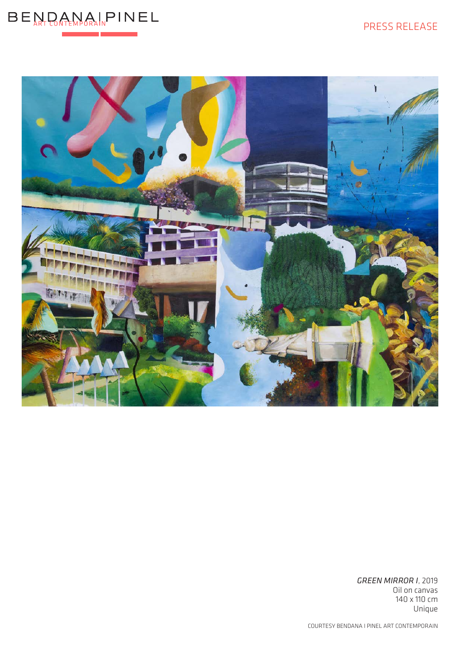## PRESS RELEASE





*GREEN MIRROR I*, 2019 Oil on canvas 140 x 110 cm Unique

COURTESY BENDANA I PINEL ART CONTEMPORAIN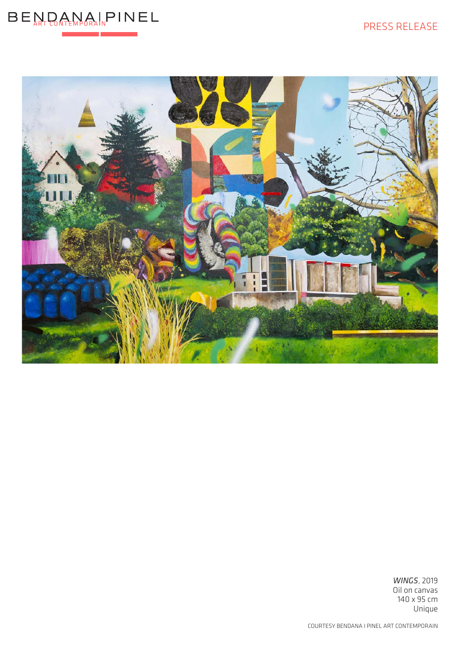## PRESS RELEASE





*WINGS*, 2019 Oil on canvas 140 x 95 cm Unique

COURTESY BENDANA I PINEL ART CONTEMPORAIN